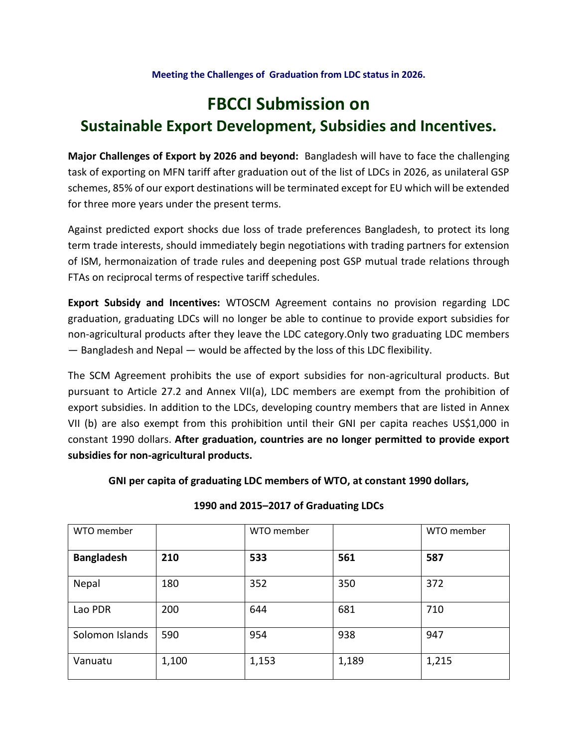#### **Meeting the Challenges of Graduation from LDC status in 2026.**

# **FBCCI Submission on Sustainable Export Development, Subsidies and Incentives.**

**Major Challenges of Export by 2026 and beyond:** Bangladesh will have to face the challenging task of exporting on MFN tariff after graduation out of the list of LDCs in 2026, as unilateral GSP schemes, 85% of our export destinations will be terminated except for EU which will be extended for three more years under the present terms.

Against predicted export shocks due loss of trade preferences Bangladesh, to protect its long term trade interests, should immediately begin negotiations with trading partners for extension of ISM, hermonaization of trade rules and deepening post GSP mutual trade relations through FTAs on reciprocal terms of respective tariff schedules.

**Export Subsidy and Incentives:** WTOSCM Agreement contains no provision regarding LDC graduation, graduating LDCs will no longer be able to continue to provide export subsidies for non-agricultural products after they leave the LDC category.Only two graduating LDC members — Bangladesh and Nepal — would be affected by the loss of this LDC flexibility.

The SCM Agreement prohibits the use of export subsidies for non-agricultural products. But pursuant to Article 27.2 and Annex VII(a), LDC members are exempt from the prohibition of export subsidies. In addition to the LDCs, developing country members that are listed in Annex VII (b) are also exempt from this prohibition until their GNI per capita reaches US\$1,000 in constant 1990 dollars. **After graduation, countries are no longer permitted to provide export subsidies for non-agricultural products.**

**GNI per capita of graduating LDC members of WTO, at constant 1990 dollars,** 

| WTO member        |       | WTO member |       | WTO member |
|-------------------|-------|------------|-------|------------|
| <b>Bangladesh</b> | 210   | 533        | 561   | 587        |
| Nepal             | 180   | 352        | 350   | 372        |
| Lao PDR           | 200   | 644        | 681   | 710        |
| Solomon Islands   | 590   | 954        | 938   | 947        |
| Vanuatu           | 1,100 | 1,153      | 1,189 | 1,215      |

**1990 and 2015–2017 of Graduating LDCs**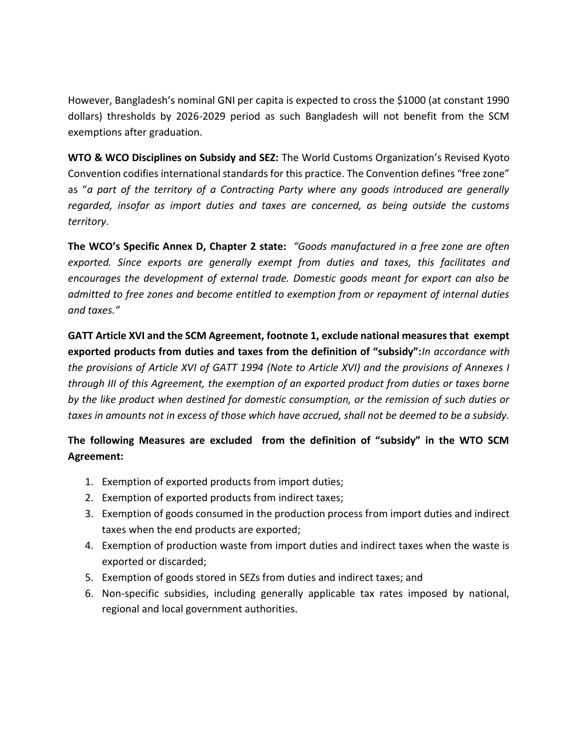However, Bangladesh's nominal GNI per capita is expected to cross the \$1000 (at constant 1990 dollars) thresholds by 2026-2029 period as such Bangladesh will not benefit from the SCM exemptions after graduation.

**WTO & WCO Disciplines on Subsidy and SEZ:** The World Customs Organization's Revised Kyoto Convention codifies international standards for this practice. The Convention defines "free zone" as "*a part of the territory of a Contracting Party where any goods introduced are generally regarded, insofar as import duties and taxes are concerned, as being outside the customs territory*.

**The WCO's Specific Annex D, Chapter 2 state:** *"Goods manufactured in a free zone are often exported. Since exports are generally exempt from duties and taxes, this facilitates and encourages the development of external trade. Domestic goods meant for export can also be admitted to free zones and become entitled to exemption from or repayment of internal duties and taxes."* 

**GATT Article XVI and the SCM Agreement, footnote 1, exclude national measures that exempt exported products from duties and taxes from the definition of "subsidy":***In accordance with the provisions of Article XVI of GATT 1994 (Note to Article XVI) and the provisions of Annexes I through III of this Agreement, the exemption of an exported product from duties or taxes borne by the like product when destined for domestic consumption, or the remission of such duties or taxes in amounts not in excess of those which have accrued, shall not be deemed to be a subsidy.*

## **The following Measures are excluded from the definition of "subsidy" in the WTO SCM Agreement:**

- 1. Exemption of exported products from import duties;
- 2. Exemption of exported products from indirect taxes;
- 3. Exemption of goods consumed in the production process from import duties and indirect taxes when the end products are exported;
- 4. Exemption of production waste from import duties and indirect taxes when the waste is exported or discarded;
- 5. Exemption of goods stored in SEZs from duties and indirect taxes; and
- 6. Non-specific subsidies, including generally applicable tax rates imposed by national, regional and local government authorities.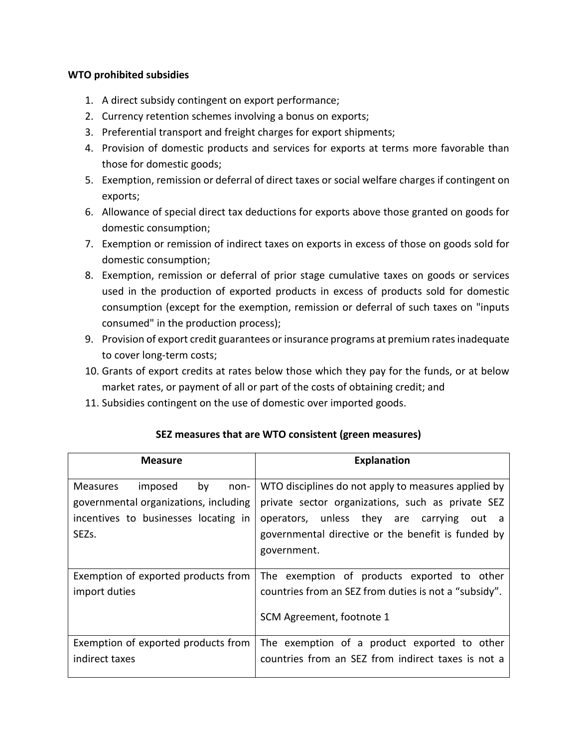#### **WTO prohibited subsidies**

- 1. A direct subsidy contingent on export performance;
- 2. Currency retention schemes involving a bonus on exports;
- 3. Preferential transport and freight charges for export shipments;
- 4. Provision of domestic products and services for exports at terms more favorable than those for domestic goods;
- 5. Exemption, remission or deferral of direct taxes or social welfare charges if contingent on exports;
- 6. Allowance of special direct tax deductions for exports above those granted on goods for domestic consumption;
- 7. Exemption or remission of indirect taxes on exports in excess of those on goods sold for domestic consumption;
- 8. Exemption, remission or deferral of prior stage cumulative taxes on goods or services used in the production of exported products in excess of products sold for domestic consumption (except for the exemption, remission or deferral of such taxes on "inputs consumed" in the production process);
- 9. Provision of export credit guarantees or insurance programs at premium rates inadequate to cover long-term costs;
- 10. Grants of export credits at rates below those which they pay for the funds, or at below market rates, or payment of all or part of the costs of obtaining credit; and
- 11. Subsidies contingent on the use of domestic over imported goods.

| <b>Measure</b>                                       | <b>Explanation</b>                                                                                                                |  |
|------------------------------------------------------|-----------------------------------------------------------------------------------------------------------------------------------|--|
| by                                                   | WTO disciplines do not apply to measures applied by                                                                               |  |
| imposed                                              | private sector organizations, such as private SEZ                                                                                 |  |
| <b>Measures</b>                                      | operators, unless they are                                                                                                        |  |
| non-                                                 | carrying                                                                                                                          |  |
| governmental organizations, including                | out a                                                                                                                             |  |
| incentives to businesses locating in                 | governmental directive or the benefit is funded by                                                                                |  |
| SEZ <sub>S</sub> .                                   | government.                                                                                                                       |  |
| Exemption of exported products from<br>import duties | The exemption of products exported to other<br>countries from an SEZ from duties is not a "subsidy".<br>SCM Agreement, footnote 1 |  |
| Exemption of exported products from                  | The exemption of a product exported to other                                                                                      |  |
| indirect taxes                                       | countries from an SEZ from indirect taxes is not a                                                                                |  |

#### **SEZ measures that are WTO consistent (green measures)**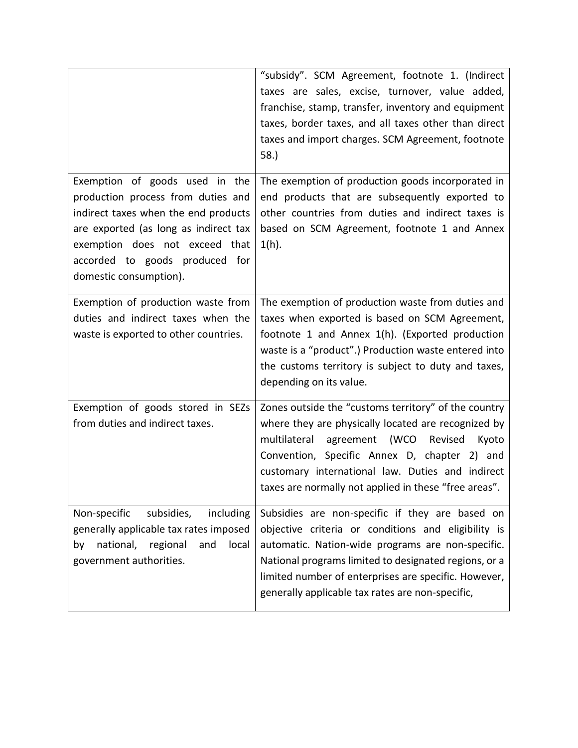|                                                                                                                                                                                                                                                     | "subsidy". SCM Agreement, footnote 1. (Indirect<br>taxes are sales, excise, turnover, value added,<br>franchise, stamp, transfer, inventory and equipment<br>taxes, border taxes, and all taxes other than direct<br>taxes and import charges. SCM Agreement, footnote<br>58.                                                    |
|-----------------------------------------------------------------------------------------------------------------------------------------------------------------------------------------------------------------------------------------------------|----------------------------------------------------------------------------------------------------------------------------------------------------------------------------------------------------------------------------------------------------------------------------------------------------------------------------------|
| Exemption of goods used in the<br>production process from duties and<br>indirect taxes when the end products<br>are exported (as long as indirect tax<br>exemption does not exceed that<br>accorded to goods produced for<br>domestic consumption). | The exemption of production goods incorporated in<br>end products that are subsequently exported to<br>other countries from duties and indirect taxes is<br>based on SCM Agreement, footnote 1 and Annex<br>$1(h)$ .                                                                                                             |
| Exemption of production waste from<br>duties and indirect taxes when the<br>waste is exported to other countries.                                                                                                                                   | The exemption of production waste from duties and<br>taxes when exported is based on SCM Agreement,<br>footnote 1 and Annex 1(h). (Exported production<br>waste is a "product".) Production waste entered into<br>the customs territory is subject to duty and taxes,<br>depending on its value.                                 |
| Exemption of goods stored in SEZs<br>from duties and indirect taxes.                                                                                                                                                                                | Zones outside the "customs territory" of the country<br>where they are physically located are recognized by<br>(WCO Revised<br>multilateral<br>agreement<br>Kyoto<br>Convention, Specific Annex D, chapter 2) and<br>customary international law. Duties and indirect<br>taxes are normally not applied in these "free areas".   |
| Non-specific<br>subsidies,<br>including<br>generally applicable tax rates imposed<br>national,<br>regional<br>and<br>local<br>by<br>government authorities.                                                                                         | Subsidies are non-specific if they are based on<br>objective criteria or conditions and eligibility is<br>automatic. Nation-wide programs are non-specific.<br>National programs limited to designated regions, or a<br>limited number of enterprises are specific. However,<br>generally applicable tax rates are non-specific, |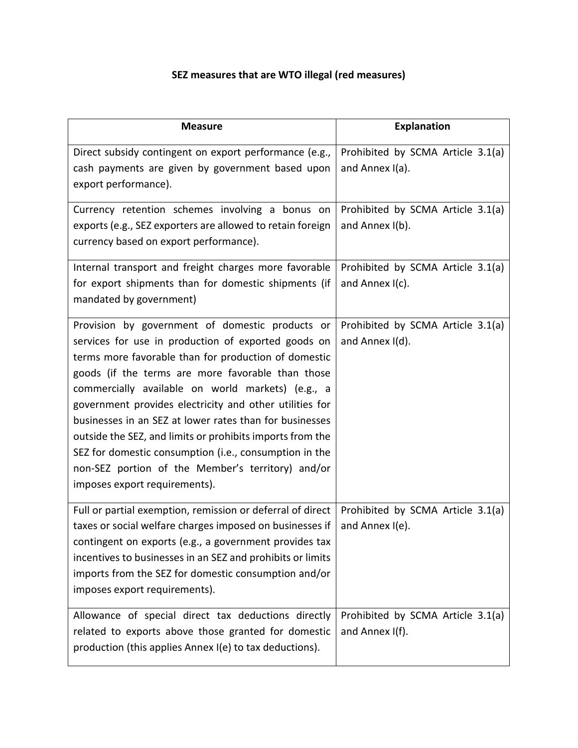# **SEZ measures that are WTO illegal (red measures)**

| <b>Measure</b>                                                                                                                                                                                                                                                                                                                                                                                                                                                                                                                                                                                              | <b>Explanation</b>                                   |
|-------------------------------------------------------------------------------------------------------------------------------------------------------------------------------------------------------------------------------------------------------------------------------------------------------------------------------------------------------------------------------------------------------------------------------------------------------------------------------------------------------------------------------------------------------------------------------------------------------------|------------------------------------------------------|
| Direct subsidy contingent on export performance (e.g.,<br>cash payments are given by government based upon<br>export performance).                                                                                                                                                                                                                                                                                                                                                                                                                                                                          | Prohibited by SCMA Article 3.1(a)<br>and Annex I(a). |
| Currency retention schemes involving a bonus on<br>exports (e.g., SEZ exporters are allowed to retain foreign<br>currency based on export performance).                                                                                                                                                                                                                                                                                                                                                                                                                                                     | Prohibited by SCMA Article 3.1(a)<br>and Annex I(b). |
| Internal transport and freight charges more favorable<br>for export shipments than for domestic shipments (if<br>mandated by government)                                                                                                                                                                                                                                                                                                                                                                                                                                                                    | Prohibited by SCMA Article 3.1(a)<br>and Annex I(c). |
| Provision by government of domestic products or<br>services for use in production of exported goods on<br>terms more favorable than for production of domestic<br>goods (if the terms are more favorable than those<br>commercially available on world markets) (e.g., a<br>government provides electricity and other utilities for<br>businesses in an SEZ at lower rates than for businesses<br>outside the SEZ, and limits or prohibits imports from the<br>SEZ for domestic consumption (i.e., consumption in the<br>non-SEZ portion of the Member's territory) and/or<br>imposes export requirements). | Prohibited by SCMA Article 3.1(a)<br>and Annex I(d). |
| Full or partial exemption, remission or deferral of direct<br>taxes or social welfare charges imposed on businesses if<br>contingent on exports (e.g., a government provides tax<br>incentives to businesses in an SEZ and prohibits or limits<br>imports from the SEZ for domestic consumption and/or<br>imposes export requirements).                                                                                                                                                                                                                                                                     | Prohibited by SCMA Article 3.1(a)<br>and Annex I(e). |
| Allowance of special direct tax deductions directly<br>related to exports above those granted for domestic<br>production (this applies Annex I(e) to tax deductions).                                                                                                                                                                                                                                                                                                                                                                                                                                       | Prohibited by SCMA Article 3.1(a)<br>and Annex I(f). |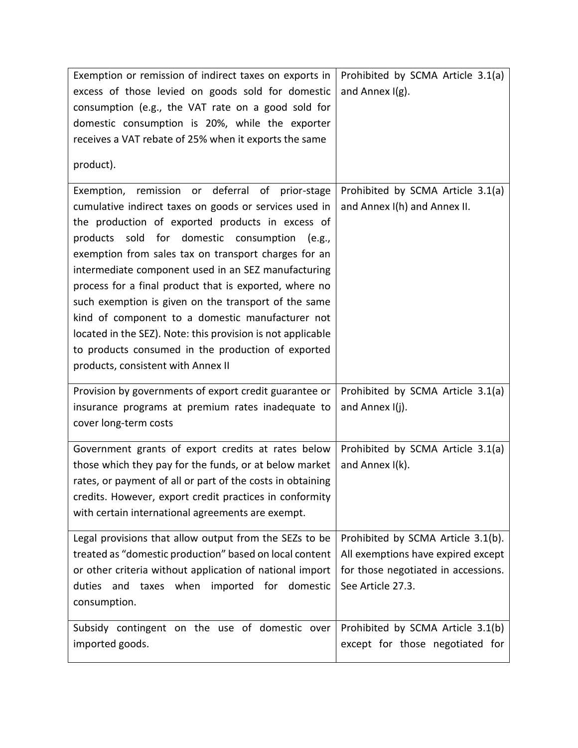| Exemption or remission of indirect taxes on exports in      | Prohibited by SCMA Article 3.1(a)   |
|-------------------------------------------------------------|-------------------------------------|
| excess of those levied on goods sold for domestic           | and Annex $I(g)$ .                  |
| consumption (e.g., the VAT rate on a good sold for          |                                     |
| domestic consumption is 20%, while the exporter             |                                     |
| receives a VAT rebate of 25% when it exports the same       |                                     |
|                                                             |                                     |
| product).                                                   |                                     |
| Exemption, remission or deferral of prior-stage             | Prohibited by SCMA Article 3.1(a)   |
| cumulative indirect taxes on goods or services used in      | and Annex I(h) and Annex II.        |
| the production of exported products in excess of            |                                     |
| products sold<br>for domestic consumption<br>(e.g.,         |                                     |
| exemption from sales tax on transport charges for an        |                                     |
| intermediate component used in an SEZ manufacturing         |                                     |
| process for a final product that is exported, where no      |                                     |
| such exemption is given on the transport of the same        |                                     |
| kind of component to a domestic manufacturer not            |                                     |
| located in the SEZ). Note: this provision is not applicable |                                     |
| to products consumed in the production of exported          |                                     |
| products, consistent with Annex II                          |                                     |
| Provision by governments of export credit guarantee or      | Prohibited by SCMA Article 3.1(a)   |
| insurance programs at premium rates inadequate to           | and Annex I(j).                     |
| cover long-term costs                                       |                                     |
|                                                             |                                     |
| Government grants of export credits at rates below          | Prohibited by SCMA Article 3.1(a)   |
| those which they pay for the funds, or at below market      | and Annex I(k).                     |
| rates, or payment of all or part of the costs in obtaining  |                                     |
| credits. However, export credit practices in conformity     |                                     |
| with certain international agreements are exempt.           |                                     |
| Legal provisions that allow output from the SEZs to be      | Prohibited by SCMA Article 3.1(b).  |
| treated as "domestic production" based on local content     | All exemptions have expired except  |
| or other criteria without application of national import    | for those negotiated in accessions. |
| duties and taxes when imported for domestic                 | See Article 27.3.                   |
| consumption.                                                |                                     |
|                                                             |                                     |
| Subsidy contingent on the use of domestic over              | Prohibited by SCMA Article 3.1(b)   |
| imported goods.                                             | except for those negotiated for     |
|                                                             |                                     |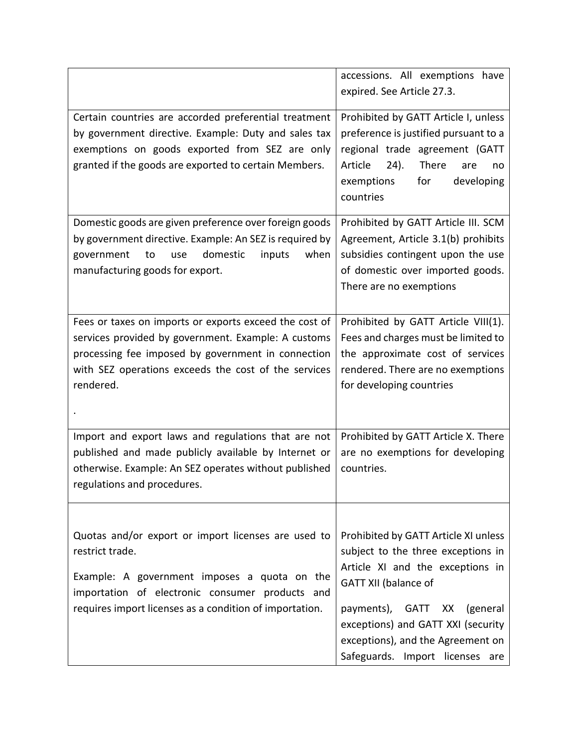|                                                                                                                                                                                                                                          | accessions. All exemptions have<br>expired. See Article 27.3.                                                                                                                                                                                                                              |
|------------------------------------------------------------------------------------------------------------------------------------------------------------------------------------------------------------------------------------------|--------------------------------------------------------------------------------------------------------------------------------------------------------------------------------------------------------------------------------------------------------------------------------------------|
| Certain countries are accorded preferential treatment<br>by government directive. Example: Duty and sales tax<br>exemptions on goods exported from SEZ are only<br>granted if the goods are exported to certain Members.                 | Prohibited by GATT Article I, unless<br>preference is justified pursuant to a<br>regional trade agreement (GATT<br>There<br>Article<br>24).<br>are<br>no<br>for<br>developing<br>exemptions<br>countries                                                                                   |
| Domestic goods are given preference over foreign goods<br>by government directive. Example: An SEZ is required by<br>when<br>domestic<br>inputs<br>government<br>to<br>use<br>manufacturing goods for export.                            | Prohibited by GATT Article III. SCM<br>Agreement, Article 3.1(b) prohibits<br>subsidies contingent upon the use<br>of domestic over imported goods.<br>There are no exemptions                                                                                                             |
| Fees or taxes on imports or exports exceed the cost of<br>services provided by government. Example: A customs<br>processing fee imposed by government in connection<br>with SEZ operations exceeds the cost of the services<br>rendered. | Prohibited by GATT Article VIII(1).<br>Fees and charges must be limited to<br>the approximate cost of services<br>rendered. There are no exemptions<br>for developing countries                                                                                                            |
| Import and export laws and regulations that are not<br>published and made publicly available by Internet or<br>otherwise. Example: An SEZ operates without published<br>regulations and procedures.                                      | Prohibited by GATT Article X. There<br>are no exemptions for developing<br>countries.                                                                                                                                                                                                      |
| Quotas and/or export or import licenses are used to<br>restrict trade.<br>Example: A government imposes a quota on the<br>importation of electronic consumer products and<br>requires import licenses as a condition of importation.     | Prohibited by GATT Article XI unless<br>subject to the three exceptions in<br>Article XI and the exceptions in<br><b>GATT XII (balance of</b><br>payments), GATT XX (general<br>exceptions) and GATT XXI (security<br>exceptions), and the Agreement on<br>Safeguards. Import licenses are |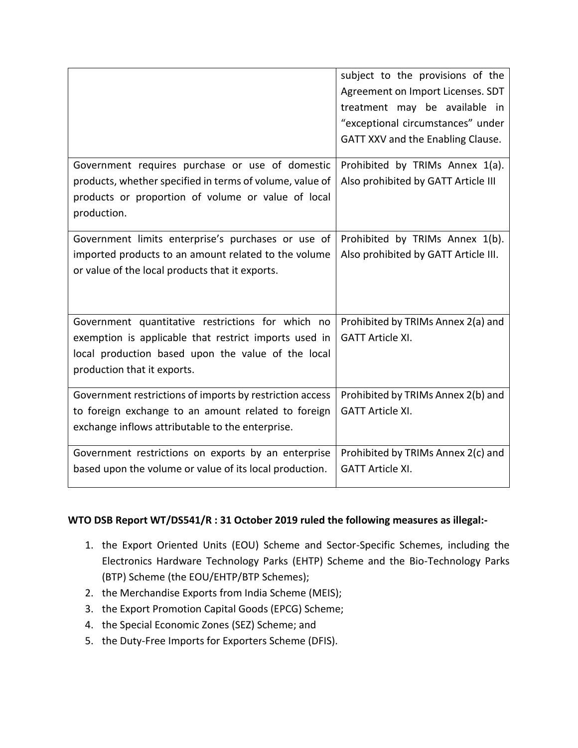|                                                                                                             | subject to the provisions of the<br>Agreement on Import Licenses. SDT<br>treatment may be available in<br>"exceptional circumstances" under<br>GATT XXV and the Enabling Clause. |
|-------------------------------------------------------------------------------------------------------------|----------------------------------------------------------------------------------------------------------------------------------------------------------------------------------|
| Government requires purchase or use of domestic<br>products, whether specified in terms of volume, value of | Prohibited by TRIMs Annex 1(a).<br>Also prohibited by GATT Article III                                                                                                           |
| products or proportion of volume or value of local<br>production.                                           |                                                                                                                                                                                  |
| Government limits enterprise's purchases or use of                                                          | Prohibited by TRIMs Annex 1(b).                                                                                                                                                  |
| imported products to an amount related to the volume<br>or value of the local products that it exports.     | Also prohibited by GATT Article III.                                                                                                                                             |
| Government quantitative restrictions for which no                                                           | Prohibited by TRIMs Annex 2(a) and                                                                                                                                               |
| exemption is applicable that restrict imports used in<br>local production based upon the value of the local | <b>GATT Article XI.</b>                                                                                                                                                          |
| production that it exports.                                                                                 |                                                                                                                                                                                  |
| Government restrictions of imports by restriction access                                                    | Prohibited by TRIMs Annex 2(b) and                                                                                                                                               |
| to foreign exchange to an amount related to foreign                                                         | <b>GATT Article XI.</b>                                                                                                                                                          |
| exchange inflows attributable to the enterprise.                                                            |                                                                                                                                                                                  |
| Government restrictions on exports by an enterprise                                                         | Prohibited by TRIMs Annex 2(c) and                                                                                                                                               |
| based upon the volume or value of its local production.                                                     | <b>GATT Article XI.</b>                                                                                                                                                          |

#### **WTO DSB Report WT/DS541/R : 31 October 2019 ruled the following measures as illegal:-**

- 1. the Export Oriented Units (EOU) Scheme and Sector-Specific Schemes, including the Electronics Hardware Technology Parks (EHTP) Scheme and the Bio-Technology Parks (BTP) Scheme (the EOU/EHTP/BTP Schemes);
- 2. the Merchandise Exports from India Scheme (MEIS);
- 3. the Export Promotion Capital Goods (EPCG) Scheme;
- 4. the Special Economic Zones (SEZ) Scheme; and
- 5. the Duty-Free Imports for Exporters Scheme (DFIS).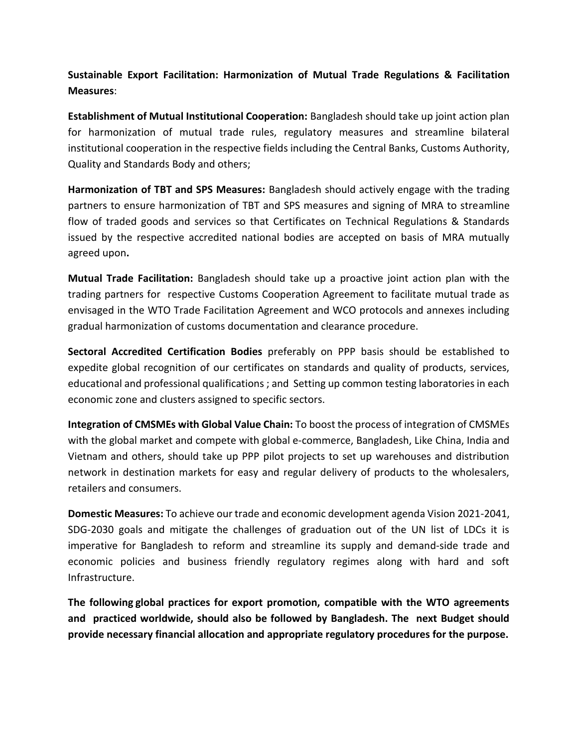**Sustainable Export Facilitation: Harmonization of Mutual Trade Regulations & Facilitation Measures**:

**Establishment of Mutual Institutional Cooperation:** Bangladesh should take up joint action plan for harmonization of mutual trade rules, regulatory measures and streamline bilateral institutional cooperation in the respective fields including the Central Banks, Customs Authority, Quality and Standards Body and others;

**Harmonization of TBT and SPS Measures:** Bangladesh should actively engage with the trading partners to ensure harmonization of TBT and SPS measures and signing of MRA to streamline flow of traded goods and services so that Certificates on Technical Regulations & Standards issued by the respective accredited national bodies are accepted on basis of MRA mutually agreed upon**.**

**Mutual Trade Facilitation:** Bangladesh should take up a proactive joint action plan with the trading partners for respective Customs Cooperation Agreement to facilitate mutual trade as envisaged in the WTO Trade Facilitation Agreement and WCO protocols and annexes including gradual harmonization of customs documentation and clearance procedure.

**Sectoral Accredited Certification Bodies** preferably on PPP basis should be established to expedite global recognition of our certificates on standards and quality of products, services, educational and professional qualifications ; and Setting up common testing laboratories in each economic zone and clusters assigned to specific sectors.

**Integration of CMSMEs with Global Value Chain:** To boost the process of integration of CMSMEs with the global market and compete with global e-commerce, Bangladesh, Like China, India and Vietnam and others, should take up PPP pilot projects to set up warehouses and distribution network in destination markets for easy and regular delivery of products to the wholesalers, retailers and consumers.

**Domestic Measures:** To achieve our trade and economic development agenda Vision 2021-2041, SDG-2030 goals and mitigate the challenges of graduation out of the UN list of LDCs it is imperative for Bangladesh to reform and streamline its supply and demand-side trade and economic policies and business friendly regulatory regimes along with hard and soft Infrastructure.

**The following global practices for export promotion, compatible with the WTO agreements and practiced worldwide, should also be followed by Bangladesh. The next Budget should provide necessary financial allocation and appropriate regulatory procedures for the purpose.**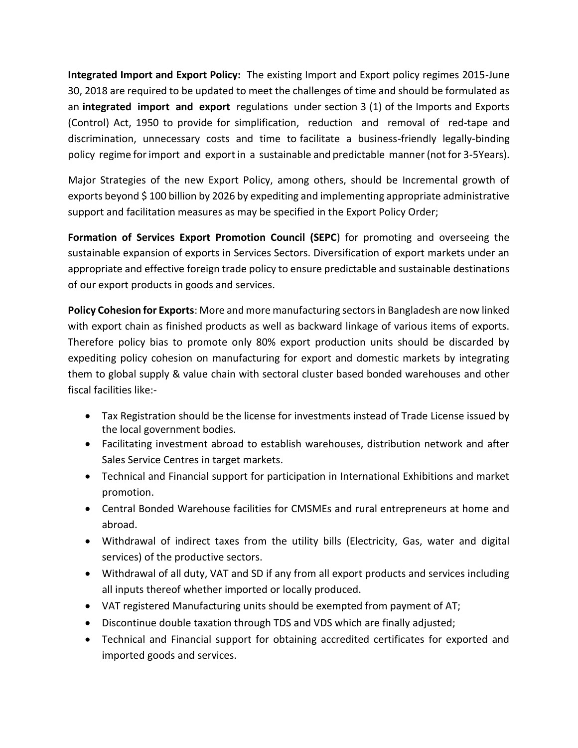**Integrated Import and Export Policy:** The existing Import and Export policy regimes 2015-June 30, 2018 are required to be updated to meet the challenges of time and should be formulated as an **integrated import and export** regulations under section 3 (1) of the Imports and Exports (Control) Act, 1950 to provide for simplification, reduction and removal of red-tape and discrimination, unnecessary costs and time to facilitate a business-friendly legally-binding policy regime for import and export in a sustainable and predictable manner (not for 3-5Years).

Major Strategies of the new Export Policy, among others, should be Incremental growth of exports beyond \$100 billion by 2026 by expediting and implementing appropriate administrative support and facilitation measures as may be specified in the Export Policy Order;

**Formation of Services Export Promotion Council (SEPC**) for promoting and overseeing the sustainable expansion of exports in Services Sectors. Diversification of export markets under an appropriate and effective foreign trade policy to ensure predictable and sustainable destinations of our export products in goods and services.

**Policy Cohesion for Exports**: More and more manufacturing sectors in Bangladesh are now linked with export chain as finished products as well as backward linkage of various items of exports. Therefore policy bias to promote only 80% export production units should be discarded by expediting policy cohesion on manufacturing for export and domestic markets by integrating them to global supply & value chain with sectoral cluster based bonded warehouses and other fiscal facilities like:-

- Tax Registration should be the license for investments instead of Trade License issued by the local government bodies.
- Facilitating investment abroad to establish warehouses, distribution network and after Sales Service Centres in target markets.
- Technical and Financial support for participation in International Exhibitions and market promotion.
- Central Bonded Warehouse facilities for CMSMEs and rural entrepreneurs at home and abroad.
- Withdrawal of indirect taxes from the utility bills (Electricity, Gas, water and digital services) of the productive sectors.
- Withdrawal of all duty, VAT and SD if any from all export products and services including all inputs thereof whether imported or locally produced.
- VAT registered Manufacturing units should be exempted from payment of AT;
- Discontinue double taxation through TDS and VDS which are finally adjusted;
- Technical and Financial support for obtaining accredited certificates for exported and imported goods and services.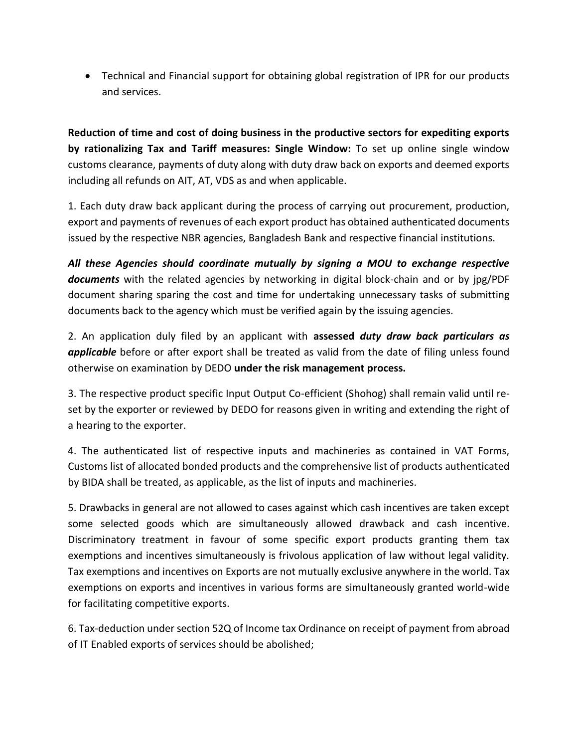Technical and Financial support for obtaining global registration of IPR for our products and services.

**Reduction of time and cost of doing business in the productive sectors for expediting exports by rationalizing Tax and Tariff measures: Single Window:** To set up online single window customs clearance, payments of duty along with duty draw back on exports and deemed exports including all refunds on AIT, AT, VDS as and when applicable.

1. Each duty draw back applicant during the process of carrying out procurement, production, export and payments of revenues of each export product has obtained authenticated documents issued by the respective NBR agencies, Bangladesh Bank and respective financial institutions.

*All these Agencies should coordinate mutually by signing a MOU to exchange respective documents* with the related agencies by networking in digital block-chain and or by jpg/PDF document sharing sparing the cost and time for undertaking unnecessary tasks of submitting documents back to the agency which must be verified again by the issuing agencies.

2. An application duly filed by an applicant with **assessed** *duty draw back particulars as applicable* before or after export shall be treated as valid from the date of filing unless found otherwise on examination by DEDO **under the risk management process.** 

3. The respective product specific Input Output Co-efficient (Shohog) shall remain valid until reset by the exporter or reviewed by DEDO for reasons given in writing and extending the right of a hearing to the exporter.

4. The authenticated list of respective inputs and machineries as contained in VAT Forms, Customs list of allocated bonded products and the comprehensive list of products authenticated by BIDA shall be treated, as applicable, as the list of inputs and machineries.

5. Drawbacks in general are not allowed to cases against which cash incentives are taken except some selected goods which are simultaneously allowed drawback and cash incentive. Discriminatory treatment in favour of some specific export products granting them tax exemptions and incentives simultaneously is frivolous application of law without legal validity. Tax exemptions and incentives on Exports are not mutually exclusive anywhere in the world. Tax exemptions on exports and incentives in various forms are simultaneously granted world-wide for facilitating competitive exports.

6. Tax-deduction under section 52Q of Income tax Ordinance on receipt of payment from abroad of IT Enabled exports of services should be abolished;